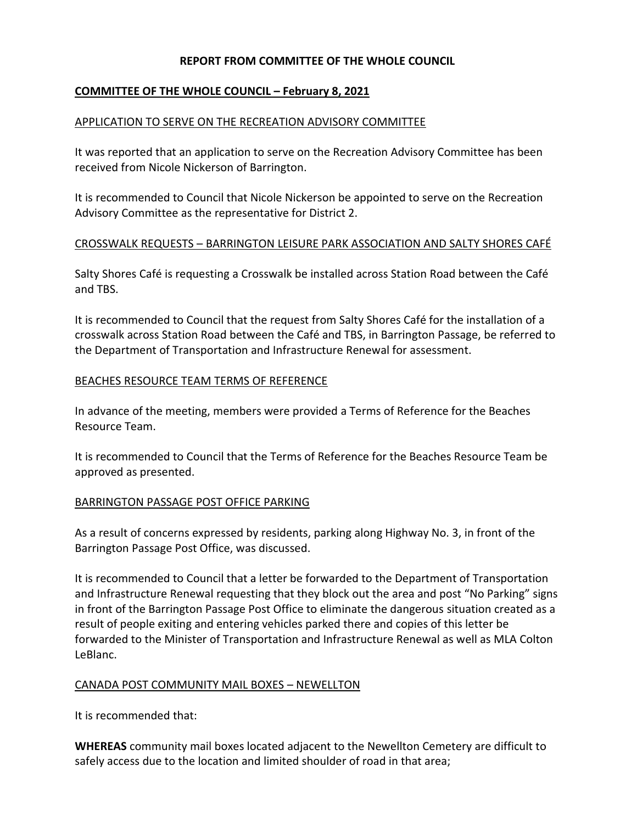## **REPORT FROM COMMITTEE OF THE WHOLE COUNCIL**

## **COMMITTEE OF THE WHOLE COUNCIL – February 8, 2021**

#### APPLICATION TO SERVE ON THE RECREATION ADVISORY COMMITTEE

It was reported that an application to serve on the Recreation Advisory Committee has been received from Nicole Nickerson of Barrington.

It is recommended to Council that Nicole Nickerson be appointed to serve on the Recreation Advisory Committee as the representative for District 2.

#### CROSSWALK REQUESTS – BARRINGTON LEISURE PARK ASSOCIATION AND SALTY SHORES CAFÉ

Salty Shores Café is requesting a Crosswalk be installed across Station Road between the Café and TBS.

It is recommended to Council that the request from Salty Shores Café for the installation of a crosswalk across Station Road between the Café and TBS, in Barrington Passage, be referred to the Department of Transportation and Infrastructure Renewal for assessment.

#### BEACHES RESOURCE TEAM TERMS OF REFERENCE

In advance of the meeting, members were provided a Terms of Reference for the Beaches Resource Team.

It is recommended to Council that the Terms of Reference for the Beaches Resource Team be approved as presented.

#### BARRINGTON PASSAGE POST OFFICE PARKING

As a result of concerns expressed by residents, parking along Highway No. 3, in front of the Barrington Passage Post Office, was discussed.

It is recommended to Council that a letter be forwarded to the Department of Transportation and Infrastructure Renewal requesting that they block out the area and post "No Parking" signs in front of the Barrington Passage Post Office to eliminate the dangerous situation created as a result of people exiting and entering vehicles parked there and copies of this letter be forwarded to the Minister of Transportation and Infrastructure Renewal as well as MLA Colton LeBlanc.

#### CANADA POST COMMUNITY MAIL BOXES – NEWELLTON

It is recommended that:

**WHEREAS** community mail boxes located adjacent to the Newellton Cemetery are difficult to safely access due to the location and limited shoulder of road in that area;